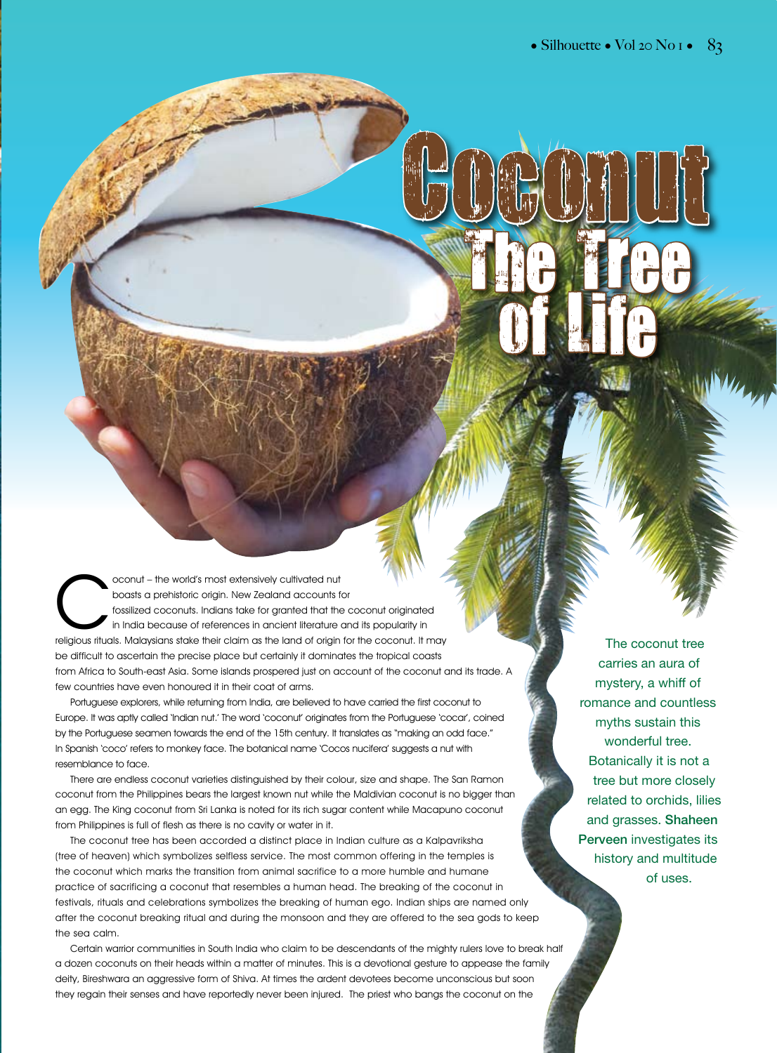Cococo

The Hiee

of Life

oconut – the world's most extensively cultivated nut<br>boasts a prehistoric origin. New Zealand accounts for<br>fossilized coconuts. Indians take for granted that the<br>in India because of references in ancient literature<br>religio boasts a prehistoric origin. New Zealand accounts for fossilized coconuts. Indians take for granted that the coconut originated in India because of references in ancient literature and its popularity in religious rituals. Malaysians stake their claim as the land of origin for the coconut. It may be difficult to ascertain the precise place but certainly it dominates the tropical coasts from Africa to South-east Asia. Some islands prospered just on account of the coconut and its trade. A few countries have even honoured it in their coat of arms.

Portuguese explorers, while returning from India, are believed to have carried the first coconut to Europe. It was aptly called 'Indian nut.' The word 'coconut' originates from the Portuguese 'cocar', coined by the Portuguese seamen towards the end of the 15th century. It translates as "making an odd face." In Spanish 'coco' refers to monkey face. The botanical name 'Cocos nucifera' suggests a nut with resemblance to face.

There are endless coconut varieties distinguished by their colour, size and shape. The San Ramon coconut from the Philippines bears the largest known nut while the Maldivian coconut is no bigger than an egg. The King coconut from Sri Lanka is noted for its rich sugar content while Macapuno coconut from Philippines is full of flesh as there is no cavity or water in it.

The coconut tree has been accorded a distinct place in Indian culture as a Kalpavriksha (tree of heaven) which symbolizes selfless service. The most common offering in the temples is the coconut which marks the transition from animal sacrifice to a more humble and humane practice of sacrificing a coconut that resembles a human head. The breaking of the coconut in festivals, rituals and celebrations symbolizes the breaking of human ego. Indian ships are named only after the coconut breaking ritual and during the monsoon and they are offered to the sea gods to keep the sea calm.

Certain warrior communities in South India who claim to be descendants of the mighty rulers love to break half a dozen coconuts on their heads within a matter of minutes. This is a devotional gesture to appease the family deity, Bireshwara an aggressive form of Shiva. At times the ardent devotees become unconscious but soon they regain their senses and have reportedly never been injured. The priest who bangs the coconut on the

The coconut tree carries an aura of mystery, a whiff of romance and countless myths sustain this wonderful tree. Botanically it is not a tree but more closely related to orchids, lilies and grasses. Shaheen Perveen investigates its history and multitude of uses.